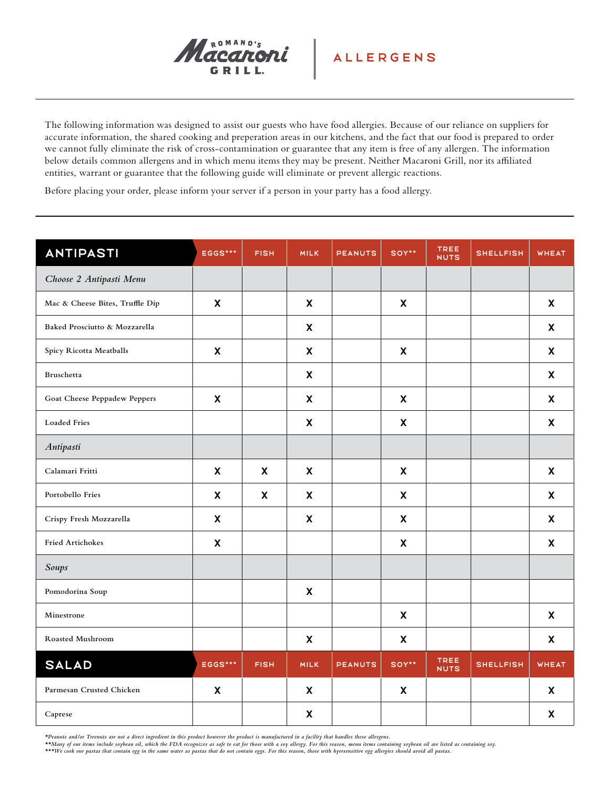

The following information was designed to assist our guests who have food allergies. Because of our reliance on suppliers for accurate information, the shared cooking and preperation areas in our kitchens, and the fact that our food is prepared to order we cannot fully eliminate the risk of cross-contamination or guarantee that any item is free of any allergen. The information below details common allergens and in which menu items they may be present. Neither Macaroni Grill, nor its affiliated entities, warrant or guarantee that the following guide will eliminate or prevent allergic reactions.

Before placing your order, please inform your server if a person in your party has a food allergy.

| ANTIPASTI                       | EGGS***                   | <b>FISH</b>               | <b>MILK</b>               | <b>PEANUTS</b> | SOY**                     | <b>TREE</b><br><b>NUTS</b> | <b>SHELLFISH</b> | <b>WHEAT</b>              |
|---------------------------------|---------------------------|---------------------------|---------------------------|----------------|---------------------------|----------------------------|------------------|---------------------------|
| Choose 2 Antipasti Menu         |                           |                           |                           |                |                           |                            |                  |                           |
| Mac & Cheese Bites, Truffle Dip | $\boldsymbol{\mathsf{x}}$ |                           | $\mathsf{x}$              |                | $\boldsymbol{\mathsf{x}}$ |                            |                  | X                         |
| Baked Prosciutto & Mozzarella   |                           |                           | $\boldsymbol{\mathsf{X}}$ |                |                           |                            |                  | X                         |
| Spicy Ricotta Meatballs         | $\boldsymbol{\mathsf{x}}$ |                           | $\boldsymbol{\mathsf{x}}$ |                | $\boldsymbol{\mathsf{x}}$ |                            |                  | $\mathsf{x}$              |
| Bruschetta                      |                           |                           | $\boldsymbol{\mathsf{X}}$ |                |                           |                            |                  | X                         |
| Goat Cheese Peppadew Peppers    | $\boldsymbol{\mathsf{x}}$ |                           | $\boldsymbol{\mathsf{x}}$ |                | $\boldsymbol{\mathsf{x}}$ |                            |                  | $\mathsf{x}$              |
| <b>Loaded Fries</b>             |                           |                           | $\boldsymbol{\mathsf{x}}$ |                | $\pmb{\chi}$              |                            |                  | $\boldsymbol{\mathsf{x}}$ |
| Antipasti                       |                           |                           |                           |                |                           |                            |                  |                           |
| Calamari Fritti                 | $\boldsymbol{\mathsf{X}}$ | $\boldsymbol{\mathsf{X}}$ | $\boldsymbol{\mathsf{X}}$ |                | $\boldsymbol{\mathsf{X}}$ |                            |                  | X                         |
| Portobello Fries                | $\boldsymbol{\mathsf{x}}$ | $\boldsymbol{\mathsf{X}}$ | $\boldsymbol{\mathsf{x}}$ |                | $\boldsymbol{\mathsf{x}}$ |                            |                  | $\mathsf{x}$              |
| Crispy Fresh Mozzarella         | $\mathsf{x}$              |                           | $\boldsymbol{\mathsf{X}}$ |                | $\boldsymbol{\mathsf{x}}$ |                            |                  | $\mathsf{x}$              |
| Fried Artichokes                | $\boldsymbol{\mathsf{X}}$ |                           |                           |                | $\boldsymbol{\mathsf{X}}$ |                            |                  | $\boldsymbol{\mathsf{X}}$ |
| Soups                           |                           |                           |                           |                |                           |                            |                  |                           |
| Pomodorina Soup                 |                           |                           | $\boldsymbol{\mathsf{X}}$ |                |                           |                            |                  |                           |
| Minestrone                      |                           |                           |                           |                | $\boldsymbol{\mathsf{x}}$ |                            |                  | $\mathsf{x}$              |
| Roasted Mushroom                |                           |                           | $\boldsymbol{\mathsf{X}}$ |                | $\pmb{\chi}$              |                            |                  | $\mathsf{x}$              |
| <b>SALAD</b>                    | EGGS***                   | <b>FISH</b>               | <b>MILK</b>               | <b>PEANUTS</b> | SOY**                     | TREE<br><b>NUTS</b>        | <b>SHELLFISH</b> | <b>WHEAT</b>              |
| Parmesan Crusted Chicken        | X                         |                           | $\boldsymbol{\mathsf{X}}$ |                | $\boldsymbol{\mathsf{X}}$ |                            |                  | X                         |
| Caprese                         |                           |                           | $\boldsymbol{\mathsf{X}}$ |                |                           |                            |                  | $\boldsymbol{\mathsf{X}}$ |

*\*Peanuts and/or Treenuts are not a direct ingredient in this product however the product is manufactured in a facility that handles these allergens.*

*\*\*Many of our items include soybean oil, which the FDA recognizes as safe to eat for those with a soy allergy. For this reason, menu items containing soybean oil are listed as containing soy.*

*\*\*\*We cook our pastas that contain egg in the same water as pastas that do not contain eggs. For this reason, those with hyersensitive egg allergies should avoid all pastas.*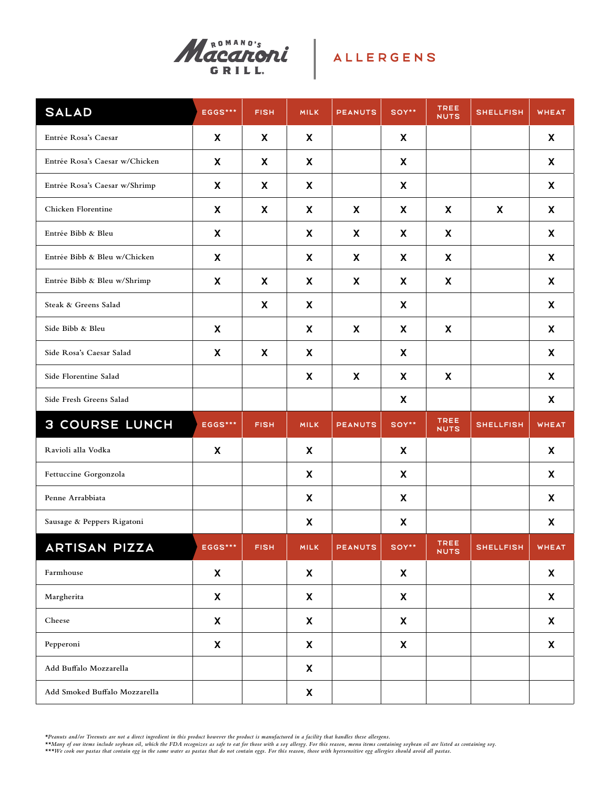

| <b>SALAD</b>                   | EGGS***      | <b>FISH</b> | <b>MILK</b> | <b>PEANUTS</b> | SOY**        | TREE<br><b>NUTS</b>        | <b>SHELLFISH</b> | <b>WHEAT</b> |
|--------------------------------|--------------|-------------|-------------|----------------|--------------|----------------------------|------------------|--------------|
| Entrée Rosa's Caesar           | X            | X           | X           |                | X            |                            |                  | X            |
| Entrée Rosa's Caesar w/Chicken | X            | X           | X           |                | X            |                            |                  | X            |
| Entrée Rosa's Caesar w/Shrimp  | X            | X           | X           |                | X            |                            |                  | X            |
| Chicken Florentine             | X            | X           | X           | X              | X            | X                          | X                | X            |
| Entrée Bibb & Bleu             | X            |             | X           | X              | X            | X                          |                  | X            |
| Entrée Bibb & Bleu w/Chicken   | X            |             | X           | X              | X            | X                          |                  | X            |
| Entrée Bibb & Bleu w/Shrimp    | X            | X           | X           | X              | X            | X                          |                  | X            |
| Steak & Greens Salad           |              | X           | X           |                | X            |                            |                  | X            |
| Side Bibb & Bleu               | X            |             | X           | X              | X            | X                          |                  | X            |
| Side Rosa's Caesar Salad       | X            | X           | X           |                | X            |                            |                  | X            |
| Side Florentine Salad          |              |             | X           | X              | X            | X                          |                  | X            |
| Side Fresh Greens Salad        |              |             |             |                | X            |                            |                  | X            |
| <b>3 COURSE LUNCH</b>          | EGGS***      | <b>FISH</b> | <b>MILK</b> | <b>PEANUTS</b> | SOY**        | <b>TREE</b><br><b>NUTS</b> | <b>SHELLFISH</b> | <b>WHEAT</b> |
| Ravioli alla Vodka             | X            |             | X           |                | X            |                            |                  | X            |
| Fettuccine Gorgonzola          |              |             | X           |                | X            |                            |                  | X            |
| Penne Arrabbiata               |              |             | X           |                | X            |                            |                  | X            |
| Sausage & Peppers Rigatoni     |              |             | X           |                | X            |                            |                  | X            |
| <b>ARTISAN PIZZA</b>           | EGGS***      | <b>FISH</b> | <b>MILK</b> | <b>PEANUTS</b> | SOY**        | TREE<br><b>NUTS</b>        | <b>SHELLFISH</b> | <b>WHEAT</b> |
| Farmhouse                      | $\mathsf{x}$ |             | X           |                | $\mathsf{x}$ |                            |                  | X            |
| Margherita                     | X            |             | X           |                | X            |                            |                  | X            |
| Cheese                         | X            |             | X           |                | X            |                            |                  | X            |
| Pepperoni                      | X            |             | X           |                | X            |                            |                  | X            |
| Add Buffalo Mozzarella         |              |             | X           |                |              |                            |                  |              |
| Add Smoked Buffalo Mozzarella  |              |             | X           |                |              |                            |                  |              |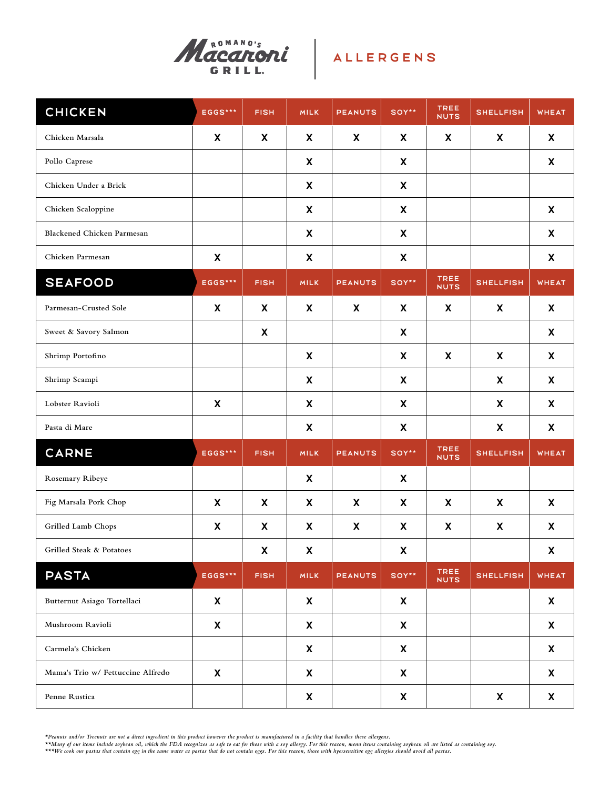

| <b>CHICKEN</b>                    | EGGS***                   | <b>FISH</b> | <b>MILK</b>  | <b>PEANUTS</b> | SOY**        | <b>TREE</b><br><b>NUTS</b> | <b>SHELLFISH</b>          | <b>WHEAT</b> |
|-----------------------------------|---------------------------|-------------|--------------|----------------|--------------|----------------------------|---------------------------|--------------|
| Chicken Marsala                   | X                         | X           | X            | X              | X            | X                          | X                         | X            |
| Pollo Caprese                     |                           |             | X            |                | $\mathsf{x}$ |                            |                           | X            |
| Chicken Under a Brick             |                           |             | X            |                | $\mathsf{x}$ |                            |                           |              |
| Chicken Scaloppine                |                           |             | X            |                | X            |                            |                           | X            |
| <b>Blackened Chicken Parmesan</b> |                           |             | X            |                | X            |                            |                           | $\mathsf{X}$ |
| Chicken Parmesan                  | X                         |             | X            |                | X            |                            |                           | X            |
| <b>SEAFOOD</b>                    | EGGS***                   | <b>FISH</b> | <b>MILK</b>  | <b>PEANUTS</b> | SOY**        | <b>TREE</b><br><b>NUTS</b> | <b>SHELLFISH</b>          | <b>WHEAT</b> |
| Parmesan-Crusted Sole             | X                         | X           | X            | X              | X            | X                          | X                         | X            |
| Sweet & Savory Salmon             |                           | X           |              |                | X            |                            |                           | X            |
| Shrimp Portofino                  |                           |             | X            |                | X            | $\boldsymbol{\mathsf{X}}$  | $\boldsymbol{\mathsf{X}}$ | X            |
| Shrimp Scampi                     |                           |             | X            |                | X            |                            | X                         | X            |
| Lobster Ravioli                   | $\boldsymbol{\mathsf{X}}$ |             | X            |                | $\mathsf{x}$ |                            | X                         | X            |
| Pasta di Mare                     |                           |             | X            |                | $\mathsf{x}$ |                            | X                         | X            |
| <b>CARNE</b>                      | EGGS***                   | <b>FISH</b> | <b>MILK</b>  | <b>PEANUTS</b> | SOY**        | TREE<br><b>NUTS</b>        | <b>SHELLFISH</b>          | <b>WHEAT</b> |
| Rosemary Ribeye                   |                           |             | X            |                | X            |                            |                           |              |
| Fig Marsala Pork Chop             | X                         | X           | X            | X              | X            | X                          | X                         | X            |
| Grilled Lamb Chops                | X                         | X           | X            | X              | X            | X                          | X                         | X            |
| Grilled Steak & Potatoes          |                           | X           | X            |                | X            |                            |                           | X            |
| <b>PASTA</b>                      | EGGS***                   | <b>FISH</b> | <b>MILK</b>  | <b>PEANUTS</b> | SOY**        | <b>TREE</b><br><b>NUTS</b> | <b>SHELLFISH</b>          | <b>WHEAT</b> |
| Butternut Asiago Tortellaci       | X                         |             | X            |                | X            |                            |                           | X            |
| Mushroom Ravioli                  | X                         |             | X            |                | $\mathsf{X}$ |                            |                           | X            |
| Carmela's Chicken                 |                           |             | $\mathsf{X}$ |                | $\mathsf{X}$ |                            |                           | X            |
| Mama's Trio w/ Fettuccine Alfredo | X                         |             | X            |                | $\mathsf{X}$ |                            |                           | X            |
| Penne Rustica                     |                           |             | X            |                | $\mathsf{x}$ |                            | X                         | X            |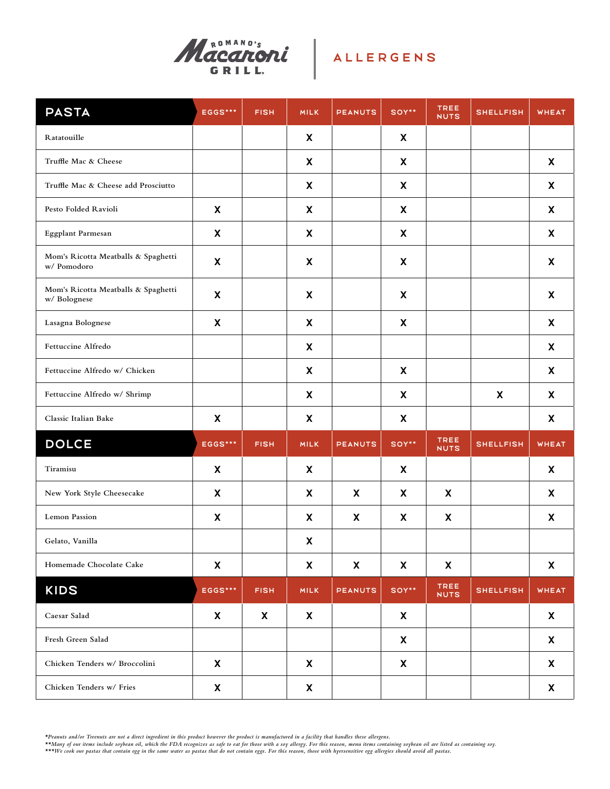

| <b>PASTA</b>                                        | EGGS***                   | <b>FISH</b> | <b>MILK</b>               | <b>PEANUTS</b>            | SOY**                     | <b>TREE</b><br><b>NUTS</b> | <b>SHELLFISH</b> | <b>WHEAT</b>       |
|-----------------------------------------------------|---------------------------|-------------|---------------------------|---------------------------|---------------------------|----------------------------|------------------|--------------------|
| Ratatouille                                         |                           |             | X                         |                           | X                         |                            |                  |                    |
| Truffle Mac & Cheese                                |                           |             | X                         |                           | X                         |                            |                  | X                  |
| Truffle Mac & Cheese add Prosciutto                 |                           |             | X                         |                           | X                         |                            |                  | X                  |
| Pesto Folded Ravioli                                | X                         |             | X                         |                           | X                         |                            |                  | X                  |
| Eggplant Parmesan                                   | X                         |             | X                         |                           | X                         |                            |                  | X                  |
| Mom's Ricotta Meatballs & Spaghetti<br>w/ Pomodoro  | X                         |             | X                         |                           | X                         |                            |                  | X                  |
| Mom's Ricotta Meatballs & Spaghetti<br>w/ Bolognese | $\boldsymbol{\mathsf{X}}$ |             | X                         |                           | $\boldsymbol{\mathsf{X}}$ |                            |                  | X                  |
| Lasagna Bolognese                                   | X                         |             | X                         |                           | X                         |                            |                  | X                  |
| Fettuccine Alfredo                                  |                           |             | X                         |                           |                           |                            |                  | X                  |
| Fettuccine Alfredo w/ Chicken                       |                           |             | X                         |                           | X                         |                            |                  | X                  |
| Fettuccine Alfredo w/ Shrimp                        |                           |             | X                         |                           | X                         |                            | X                | X                  |
| Classic Italian Bake                                | X                         |             | X                         |                           | X                         |                            |                  | X                  |
| <b>DOLCE</b>                                        | EGGS***                   | <b>FISH</b> | <b>MILK</b>               | <b>PEANUTS</b>            | SOY**                     | <b>TREE</b><br><b>NUTS</b> | <b>SHELLFISH</b> | <b>WHEAT</b>       |
| Tiramisu                                            | $\boldsymbol{\mathsf{X}}$ |             | X                         |                           | $\boldsymbol{\mathsf{X}}$ |                            |                  | X                  |
| New York Style Cheesecake                           | $\boldsymbol{\mathsf{X}}$ |             | X                         | $\boldsymbol{\mathsf{X}}$ | $\boldsymbol{\mathsf{X}}$ | X                          |                  | X                  |
| <b>Lemon Passion</b>                                | $\boldsymbol{\mathsf{X}}$ |             | X                         | X                         | X                         | X                          |                  | X                  |
| Gelato, Vanilla                                     |                           |             | $\boldsymbol{\mathsf{x}}$ |                           |                           |                            |                  |                    |
| Homemade Chocolate Cake                             | $\pmb{\mathsf{X}}$        |             | $\pmb{\mathsf{X}}$        | $\pmb{\mathsf{X}}$        | $\boldsymbol{\mathsf{X}}$ | $\boldsymbol{\mathsf{X}}$  |                  | $\pmb{\mathsf{X}}$ |
| KIDS                                                | EGGS***                   | <b>FISH</b> | <b>MILK</b>               | <b>PEANUTS</b>            | SOY**                     | <b>TREE</b><br><b>NUTS</b> | <b>SHELLFISH</b> | <b>WHEAT</b>       |
| Caesar Salad                                        | X                         | X           | X                         |                           | X                         |                            |                  | X                  |
| Fresh Green Salad                                   |                           |             |                           |                           | X                         |                            |                  | X                  |
| Chicken Tenders w/ Broccolini                       | X                         |             | X                         |                           | X                         |                            |                  | X                  |
| Chicken Tenders w/ Fries                            | X                         |             | X                         |                           |                           |                            |                  | X                  |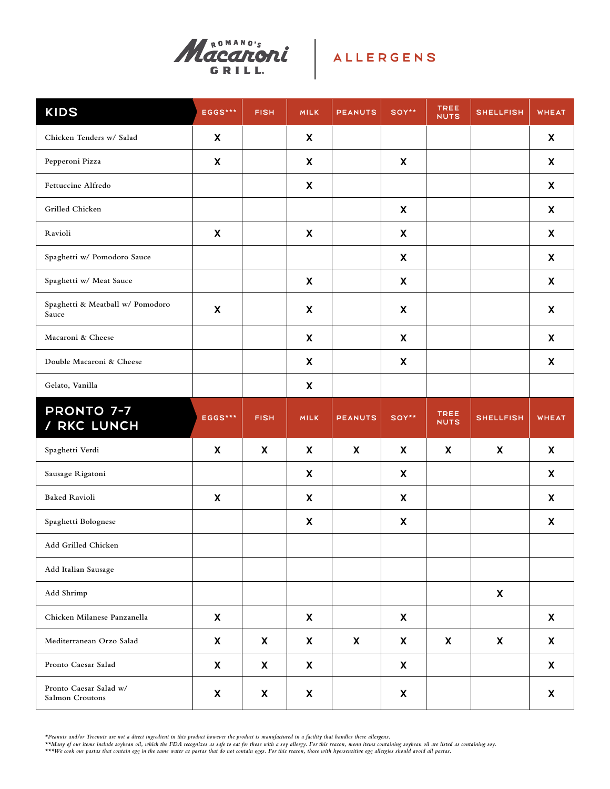

| <b>KIDS</b>                               | EGGS***                   | <b>FISH</b>               | <b>MILK</b>               | <b>PEANUTS</b>            | SOY**                     | <b>TREE</b><br><b>NUTS</b> | <b>SHELLFISH</b>          | <b>WHEAT</b> |
|-------------------------------------------|---------------------------|---------------------------|---------------------------|---------------------------|---------------------------|----------------------------|---------------------------|--------------|
| Chicken Tenders w/ Salad                  | X                         |                           | X                         |                           |                           |                            |                           | X            |
| Pepperoni Pizza                           | X                         |                           | X                         |                           | X                         |                            |                           | X            |
| Fettuccine Alfredo                        |                           |                           | X                         |                           |                           |                            |                           | X            |
| Grilled Chicken                           |                           |                           |                           |                           | X                         |                            |                           | X            |
| Ravioli                                   | X                         |                           | X                         |                           | X                         |                            |                           | X            |
| Spaghetti w/ Pomodoro Sauce               |                           |                           |                           |                           | X                         |                            |                           | X            |
| Spaghetti w/ Meat Sauce                   |                           |                           | X                         |                           | X                         |                            |                           | X            |
| Spaghetti & Meatball w/ Pomodoro<br>Sauce | X                         |                           | X                         |                           | X                         |                            |                           | X            |
| Macaroni & Cheese                         |                           |                           | $\boldsymbol{\mathsf{X}}$ |                           | $\boldsymbol{\mathsf{X}}$ |                            |                           | X            |
| Double Macaroni & Cheese                  |                           |                           | $\boldsymbol{\mathsf{X}}$ |                           | $\boldsymbol{\mathsf{X}}$ |                            |                           | X            |
| Gelato, Vanilla                           |                           |                           | $\boldsymbol{\mathsf{X}}$ |                           |                           |                            |                           |              |
| <b>PRONTO 7-7</b><br>/ RKC LUNCH          | EGGS***                   | <b>FISH</b>               | <b>MILK</b>               | <b>PEANUTS</b>            | SOY**                     | <b>TREE</b><br><b>NUTS</b> | <b>SHELLFISH</b>          | <b>WHEAT</b> |
| Spaghetti Verdi                           | $\boldsymbol{\mathsf{X}}$ | $\boldsymbol{\mathsf{X}}$ | X                         | X                         | X                         | X                          | X                         | X            |
| Sausage Rigatoni                          |                           |                           | X                         |                           | $\boldsymbol{\mathsf{X}}$ |                            |                           | X            |
| <b>Baked Ravioli</b>                      | $\boldsymbol{\mathsf{X}}$ |                           | $\boldsymbol{\mathsf{X}}$ |                           |                           |                            |                           |              |
| Spaghetti Bolognese                       |                           |                           |                           |                           | $\boldsymbol{\mathsf{X}}$ |                            |                           | X            |
|                                           |                           |                           | X                         |                           | $\boldsymbol{\mathsf{X}}$ |                            |                           | X            |
| Add Grilled Chicken                       |                           |                           |                           |                           |                           |                            |                           |              |
| Add Italian Sausage                       |                           |                           |                           |                           |                           |                            |                           |              |
| Add Shrimp                                |                           |                           |                           |                           |                           |                            | X                         |              |
| Chicken Milanese Panzanella               | X                         |                           | $\mathsf{x}$              |                           | $\boldsymbol{\mathsf{X}}$ |                            |                           | X            |
| Mediterranean Orzo Salad                  | X                         | $\boldsymbol{\mathsf{X}}$ | $\mathsf{x}$              | $\boldsymbol{\mathsf{X}}$ | X                         | X                          | $\boldsymbol{\mathsf{X}}$ | X            |
| Pronto Caesar Salad                       | X                         | X                         | $\mathsf{x}$              |                           | X                         |                            |                           | $\mathsf{x}$ |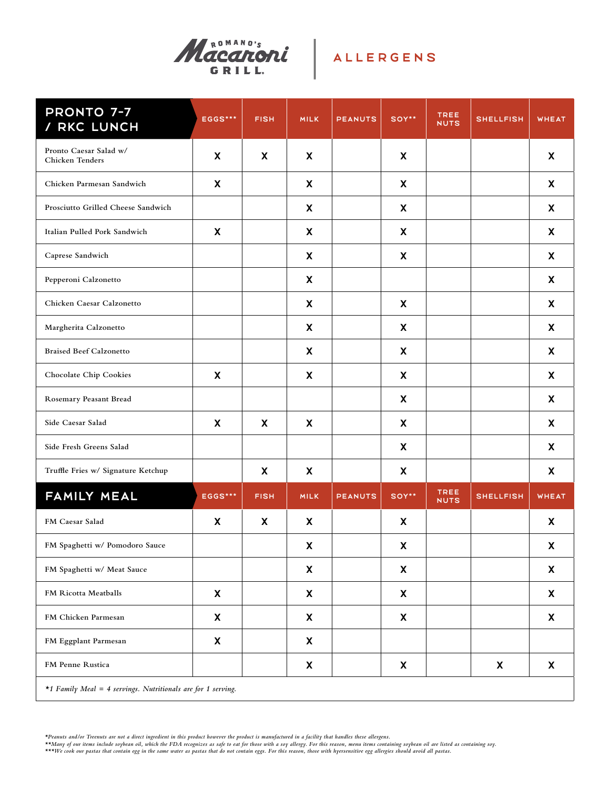

# ALLERGENS

| <b>PRONTO 7-7</b><br>/ RKC LUNCH                             | EGGS***                   | <b>FISH</b>               | <b>MILK</b>  | <b>PEANUTS</b> | SOY** | TREE<br><b>NUTS</b>        | <b>SHELLFISH</b> | <b>WHEAT</b>              |
|--------------------------------------------------------------|---------------------------|---------------------------|--------------|----------------|-------|----------------------------|------------------|---------------------------|
| Pronto Caesar Salad w/<br><b>Chicken Tenders</b>             | $\boldsymbol{\mathsf{X}}$ | $\boldsymbol{\mathsf{X}}$ | $\mathsf{x}$ |                | X     |                            |                  | X                         |
| Chicken Parmesan Sandwich                                    | X                         |                           | X            |                | X     |                            |                  | X                         |
| Prosciutto Grilled Cheese Sandwich                           |                           |                           | X            |                | X     |                            |                  | X                         |
| Italian Pulled Pork Sandwich                                 | X                         |                           | X            |                | X     |                            |                  | $\boldsymbol{\mathsf{X}}$ |
| Caprese Sandwich                                             |                           |                           | X            |                | X     |                            |                  | X                         |
| Pepperoni Calzonetto                                         |                           |                           | X            |                |       |                            |                  | X                         |
| Chicken Caesar Calzonetto                                    |                           |                           | X            |                | X     |                            |                  | X                         |
| Margherita Calzonetto                                        |                           |                           | X            |                | X     |                            |                  | X                         |
| <b>Braised Beef Calzonetto</b>                               |                           |                           | X            |                | X     |                            |                  | X                         |
| Chocolate Chip Cookies                                       | X                         |                           | X            |                | X     |                            |                  | X                         |
| Rosemary Peasant Bread                                       |                           |                           |              |                | X     |                            |                  | X                         |
| Side Caesar Salad                                            | X                         | X                         | X            |                | X     |                            |                  | X                         |
| Side Fresh Greens Salad                                      |                           |                           |              |                | X     |                            |                  | X                         |
| Truffle Fries w/ Signature Ketchup                           |                           | X                         | X            |                | X     |                            |                  | X                         |
| FAMILY MEAL                                                  | <b>EGGS***</b>            | <b>FISH</b>               | <b>MILK</b>  | <b>PEANUTS</b> | SOY** | <b>TREE</b><br><b>NUTS</b> | <b>SHELLFISH</b> | <b>WHEAT</b>              |
| FM Caesar Salad                                              | X                         | X                         | X            |                | X     |                            |                  | X                         |
| FM Spaghetti w/ Pomodoro Sauce                               |                           |                           | X            |                | X     |                            |                  | X                         |
| FM Spaghetti w/ Meat Sauce                                   |                           |                           | X            |                | X     |                            |                  | X                         |
| FM Ricotta Meatballs                                         | X                         |                           | X            |                | X     |                            |                  | X                         |
| FM Chicken Parmesan                                          | X                         |                           | X            |                | X     |                            |                  | X                         |
| FM Eggplant Parmesan                                         | X                         |                           | X            |                |       |                            |                  |                           |
| FM Penne Rustica                                             |                           |                           | X            |                | X     |                            | X                | X                         |
| *1 Family Meal = 4 servings. Nutritionals are for 1 serving. |                           |                           |              |                |       |                            |                  |                           |